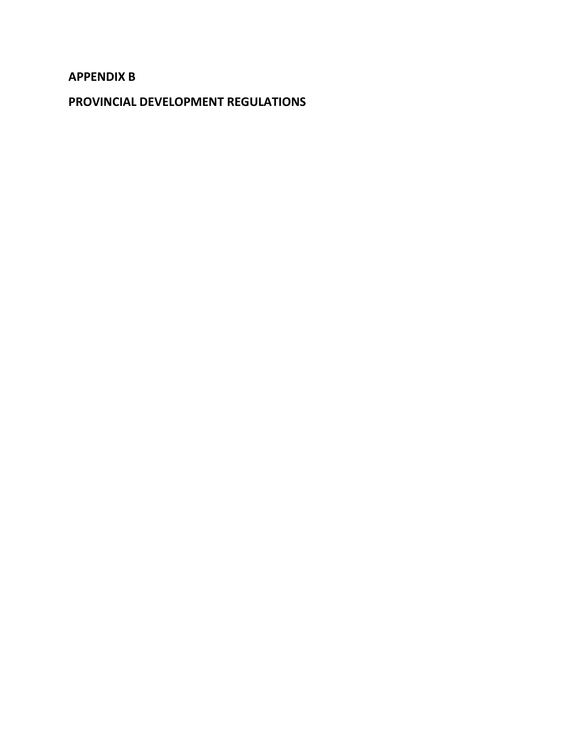# **APPENDIX B**

**PROVINCIAL DEVELOPMENT REGULATIONS**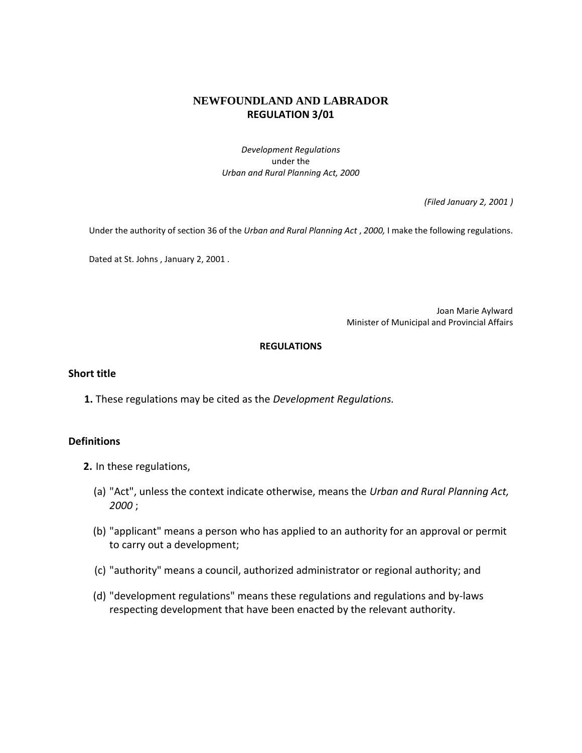### **NEWFOUNDLAND AND LABRADOR REGULATION 3/01**

*Development Regulations* under the *Urban and Rural Planning Act, 2000* 

*(Filed January 2, 2001 )* 

Under the authority of section 36 of the *Urban and Rural Planning Act* , *2000,* I make the following regulations.

Dated at St. Johns , January 2, 2001 .

Joan Marie Aylward Minister of Municipal and Provincial Affairs

#### **REGULATIONS**

#### **Short title**

**1.** These regulations may be cited as the *Development Regulations.*

#### **Definitions**

- **2.** In these regulations,
	- (a) "Act", unless the context indicate otherwise, means the *Urban and Rural Planning Act, 2000* ;
	- (b) "applicant" means a person who has applied to an authority for an approval or permit to carry out a development;
	- (c) "authority" means a council, authorized administrator or regional authority; and
	- (d) "development regulations" means these regulations and regulations and by-laws respecting development that have been enacted by the relevant authority.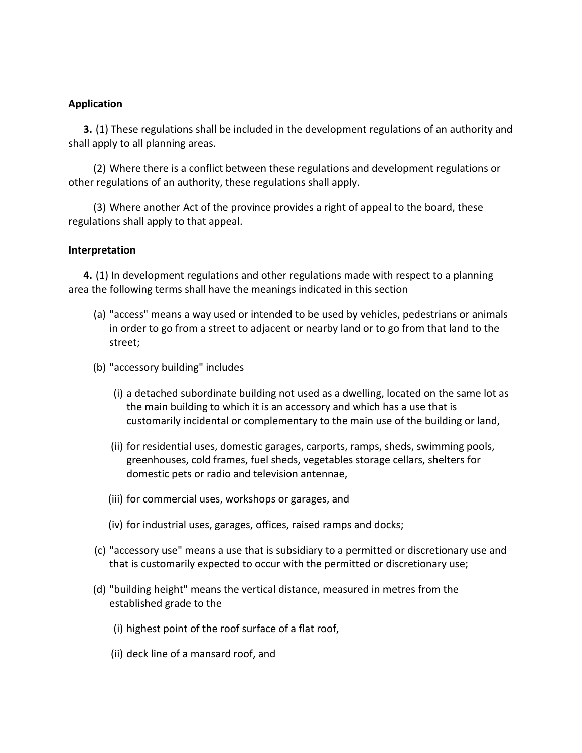### **Application**

**3.** (1) These regulations shall be included in the development regulations of an authority and shall apply to all planning areas.

(2) Where there is a conflict between these regulations and development regulations or other regulations of an authority, these regulations shall apply.

(3) Where another Act of the province provides a right of appeal to the board, these regulations shall apply to that appeal.

### **Interpretation**

**4.** (1) In development regulations and other regulations made with respect to a planning area the following terms shall have the meanings indicated in this section

- (a) "access" means a way used or intended to be used by vehicles, pedestrians or animals in order to go from a street to adjacent or nearby land or to go from that land to the street;
- (b) "accessory building" includes
	- (i) a detached subordinate building not used as a dwelling, located on the same lot as the main building to which it is an accessory and which has a use that is customarily incidental or complementary to the main use of the building or land,
	- (ii) for residential uses, domestic garages, carports, ramps, sheds, swimming pools, greenhouses, cold frames, fuel sheds, vegetables storage cellars, shelters for domestic pets or radio and television antennae,
	- (iii) for commercial uses, workshops or garages, and
	- (iv) for industrial uses, garages, offices, raised ramps and docks;
- (c) "accessory use" means a use that is subsidiary to a permitted or discretionary use and that is customarily expected to occur with the permitted or discretionary use;
- (d) "building height" means the vertical distance, measured in metres from the established grade to the
	- (i) highest point of the roof surface of a flat roof,
	- (ii) deck line of a mansard roof, and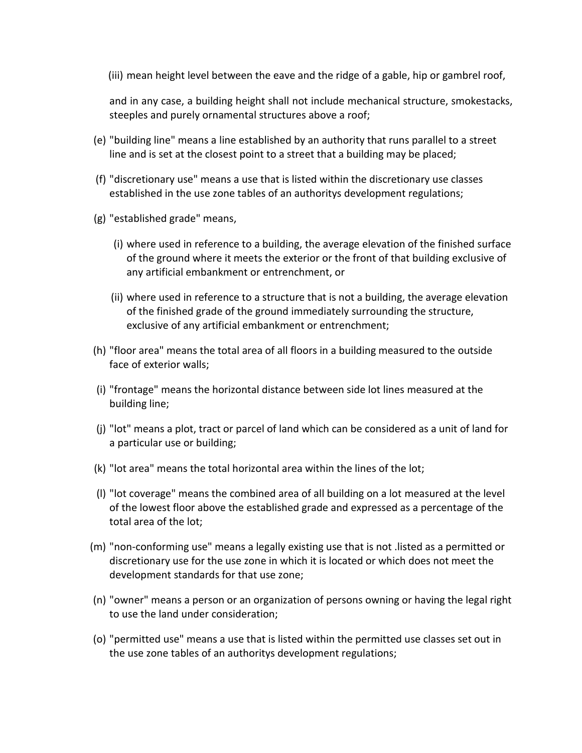(iii) mean height level between the eave and the ridge of a gable, hip or gambrel roof,

and in any case, a building height shall not include mechanical structure, smokestacks, steeples and purely ornamental structures above a roof;

- (e) "building line" means a line established by an authority that runs parallel to a street line and is set at the closest point to a street that a building may be placed;
- (f) "discretionary use" means a use that is listed within the discretionary use classes established in the use zone tables of an authoritys development regulations;
- (g) "established grade" means,
	- (i) where used in reference to a building, the average elevation of the finished surface of the ground where it meets the exterior or the front of that building exclusive of any artificial embankment or entrenchment, or
	- (ii) where used in reference to a structure that is not a building, the average elevation of the finished grade of the ground immediately surrounding the structure, exclusive of any artificial embankment or entrenchment;
- (h) "floor area" means the total area of all floors in a building measured to the outside face of exterior walls;
- (i) "frontage" means the horizontal distance between side lot lines measured at the building line;
- (j) "lot" means a plot, tract or parcel of land which can be considered as a unit of land for a particular use or building;
- (k) "lot area" means the total horizontal area within the lines of the lot;
- (l) "lot coverage" means the combined area of all building on a lot measured at the level of the lowest floor above the established grade and expressed as a percentage of the total area of the lot;
- (m) "non-conforming use" means a legally existing use that is not .listed as a permitted or discretionary use for the use zone in which it is located or which does not meet the development standards for that use zone;
- (n) "owner" means a person or an organization of persons owning or having the legal right to use the land under consideration;
- (o) "permitted use" means a use that is listed within the permitted use classes set out in the use zone tables of an authoritys development regulations;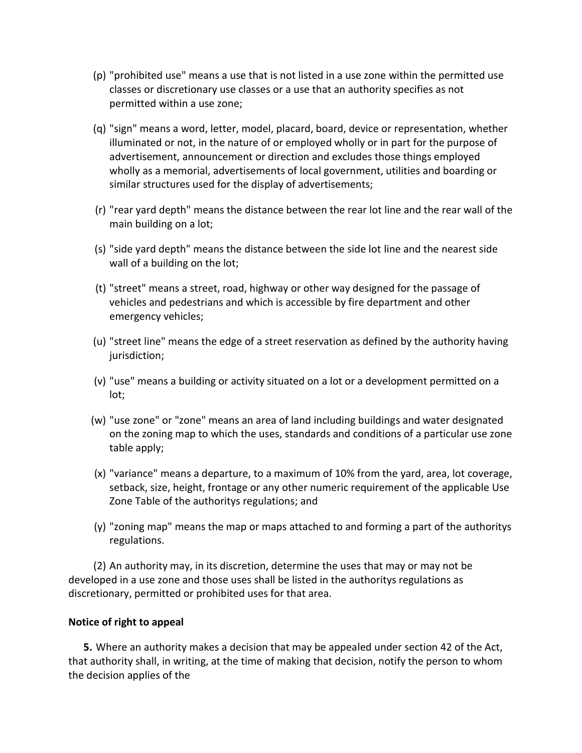- (p) "prohibited use" means a use that is not listed in a use zone within the permitted use classes or discretionary use classes or a use that an authority specifies as not permitted within a use zone;
- (q) "sign" means a word, letter, model, placard, board, device or representation, whether illuminated or not, in the nature of or employed wholly or in part for the purpose of advertisement, announcement or direction and excludes those things employed wholly as a memorial, advertisements of local government, utilities and boarding or similar structures used for the display of advertisements;
- (r) "rear yard depth" means the distance between the rear lot line and the rear wall of the main building on a lot;
- (s) "side yard depth" means the distance between the side lot line and the nearest side wall of a building on the lot;
- (t) "street" means a street, road, highway or other way designed for the passage of vehicles and pedestrians and which is accessible by fire department and other emergency vehicles;
- (u) "street line" means the edge of a street reservation as defined by the authority having jurisdiction;
- (v) "use" means a building or activity situated on a lot or a development permitted on a lot;
- (w) "use zone" or "zone" means an area of land including buildings and water designated on the zoning map to which the uses, standards and conditions of a particular use zone table apply;
- (x) "variance" means a departure, to a maximum of 10% from the yard, area, lot coverage, setback, size, height, frontage or any other numeric requirement of the applicable Use Zone Table of the authoritys regulations; and
- (y) "zoning map" means the map or maps attached to and forming a part of the authoritys regulations.

(2) An authority may, in its discretion, determine the uses that may or may not be developed in a use zone and those uses shall be listed in the authoritys regulations as discretionary, permitted or prohibited uses for that area.

### **Notice of right to appeal**

**5.** Where an authority makes a decision that may be appealed under section 42 of the Act, that authority shall, in writing, at the time of making that decision, notify the person to whom the decision applies of the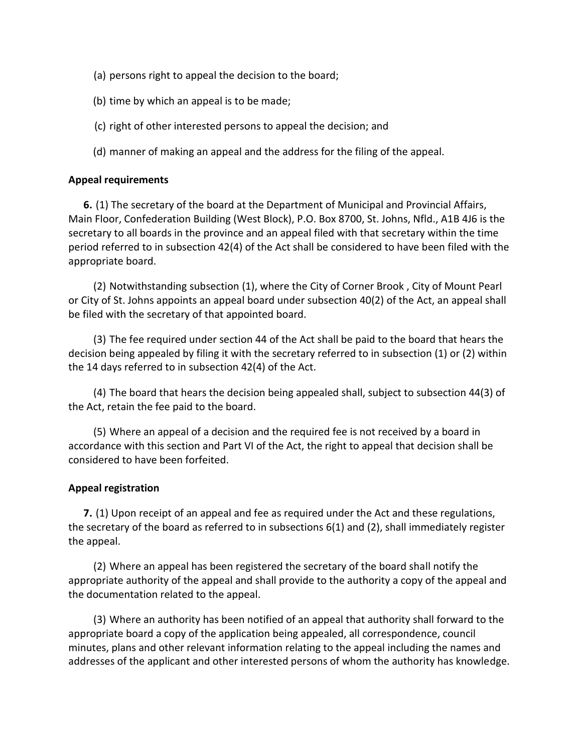- (a) persons right to appeal the decision to the board;
- (b) time by which an appeal is to be made;
- (c) right of other interested persons to appeal the decision; and
- (d) manner of making an appeal and the address for the filing of the appeal.

### **Appeal requirements**

**6.** (1) The secretary of the board at the Department of Municipal and Provincial Affairs, Main Floor, Confederation Building (West Block), P.O. Box 8700, St. Johns, Nfld., A1B 4J6 is the secretary to all boards in the province and an appeal filed with that secretary within the time period referred to in subsection 42(4) of the Act shall be considered to have been filed with the appropriate board.

(2) Notwithstanding subsection (1), where the City of Corner Brook , City of Mount Pearl or City of St. Johns appoints an appeal board under subsection 40(2) of the Act, an appeal shall be filed with the secretary of that appointed board.

(3) The fee required under section 44 of the Act shall be paid to the board that hears the decision being appealed by filing it with the secretary referred to in subsection (1) or (2) within the 14 days referred to in subsection 42(4) of the Act.

(4) The board that hears the decision being appealed shall, subject to subsection 44(3) of the Act, retain the fee paid to the board.

(5) Where an appeal of a decision and the required fee is not received by a board in accordance with this section and Part VI of the Act, the right to appeal that decision shall be considered to have been forfeited.

### **Appeal registration**

**7.** (1) Upon receipt of an appeal and fee as required under the Act and these regulations, the secretary of the board as referred to in subsections 6(1) and (2), shall immediately register the appeal.

(2) Where an appeal has been registered the secretary of the board shall notify the appropriate authority of the appeal and shall provide to the authority a copy of the appeal and the documentation related to the appeal.

(3) Where an authority has been notified of an appeal that authority shall forward to the appropriate board a copy of the application being appealed, all correspondence, council minutes, plans and other relevant information relating to the appeal including the names and addresses of the applicant and other interested persons of whom the authority has knowledge.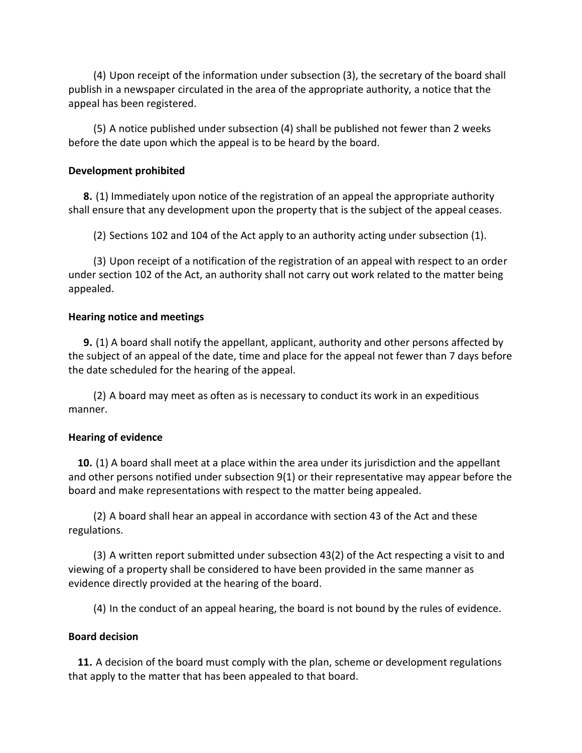(4) Upon receipt of the information under subsection (3), the secretary of the board shall publish in a newspaper circulated in the area of the appropriate authority, a notice that the appeal has been registered.

(5) A notice published under subsection (4) shall be published not fewer than 2 weeks before the date upon which the appeal is to be heard by the board.

### **Development prohibited**

**8.** (1) Immediately upon notice of the registration of an appeal the appropriate authority shall ensure that any development upon the property that is the subject of the appeal ceases.

(2) Sections 102 and 104 of the Act apply to an authority acting under subsection (1).

(3) Upon receipt of a notification of the registration of an appeal with respect to an order under section 102 of the Act, an authority shall not carry out work related to the matter being appealed.

### **Hearing notice and meetings**

**9.** (1) A board shall notify the appellant, applicant, authority and other persons affected by the subject of an appeal of the date, time and place for the appeal not fewer than 7 days before the date scheduled for the hearing of the appeal.

(2) A board may meet as often as is necessary to conduct its work in an expeditious manner.

## **Hearing of evidence**

**10.** (1) A board shall meet at a place within the area under its jurisdiction and the appellant and other persons notified under subsection 9(1) or their representative may appear before the board and make representations with respect to the matter being appealed.

(2) A board shall hear an appeal in accordance with section 43 of the Act and these regulations.

(3) A written report submitted under subsection 43(2) of the Act respecting a visit to and viewing of a property shall be considered to have been provided in the same manner as evidence directly provided at the hearing of the board.

(4) In the conduct of an appeal hearing, the board is not bound by the rules of evidence.

## **Board decision**

**11.** A decision of the board must comply with the plan, scheme or development regulations that apply to the matter that has been appealed to that board.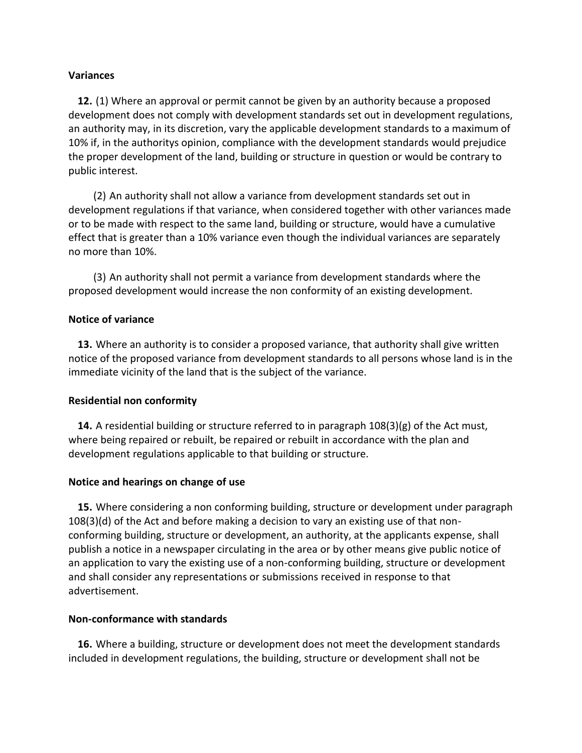### **Variances**

**12.** (1) Where an approval or permit cannot be given by an authority because a proposed development does not comply with development standards set out in development regulations, an authority may, in its discretion, vary the applicable development standards to a maximum of 10% if, in the authoritys opinion, compliance with the development standards would prejudice the proper development of the land, building or structure in question or would be contrary to public interest.

(2) An authority shall not allow a variance from development standards set out in development regulations if that variance, when considered together with other variances made or to be made with respect to the same land, building or structure, would have a cumulative effect that is greater than a 10% variance even though the individual variances are separately no more than 10%.

(3) An authority shall not permit a variance from development standards where the proposed development would increase the non conformity of an existing development.

#### **Notice of variance**

**13.** Where an authority is to consider a proposed variance, that authority shall give written notice of the proposed variance from development standards to all persons whose land is in the immediate vicinity of the land that is the subject of the variance.

### **Residential non conformity**

**14.** A residential building or structure referred to in paragraph 108(3)(g) of the Act must, where being repaired or rebuilt, be repaired or rebuilt in accordance with the plan and development regulations applicable to that building or structure.

#### **Notice and hearings on change of use**

**15.** Where considering a non conforming building, structure or development under paragraph 108(3)(d) of the Act and before making a decision to vary an existing use of that nonconforming building, structure or development, an authority, at the applicants expense, shall publish a notice in a newspaper circulating in the area or by other means give public notice of an application to vary the existing use of a non-conforming building, structure or development and shall consider any representations or submissions received in response to that advertisement.

#### **Non-conformance with standards**

**16.** Where a building, structure or development does not meet the development standards included in development regulations, the building, structure or development shall not be